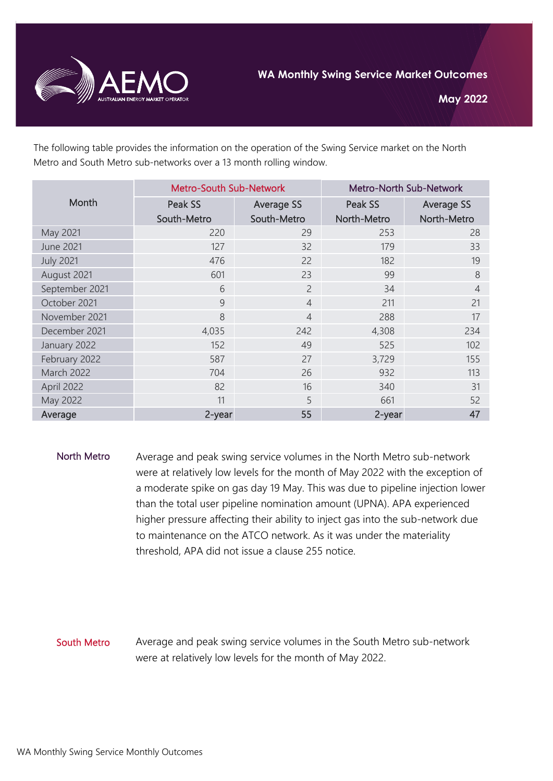

The following table provides the information on the operation of the Swing Service market on the North Metro and South Metro sub-networks over a 13 month rolling window.

| Month             | <b>Metro-South Sub-Network</b> |                   | <b>Metro-North Sub-Network</b> |                   |
|-------------------|--------------------------------|-------------------|--------------------------------|-------------------|
|                   | Peak SS                        | <b>Average SS</b> | Peak SS                        | <b>Average SS</b> |
|                   | South-Metro                    | South-Metro       | North-Metro                    | North-Metro       |
| May 2021          | 220                            | 29                | 253                            | 28                |
| <b>June 2021</b>  | 127                            | 32                | 179                            | 33                |
| <b>July 2021</b>  | 476                            | 22                | 182                            | 19                |
| August 2021       | 601                            | 23                | 99                             | 8                 |
| September 2021    | 6                              | $\overline{c}$    | 34                             | $\overline{4}$    |
| October 2021      | 9                              | $\overline{4}$    | 211                            | 21                |
| November 2021     | 8                              | $\overline{4}$    | 288                            | 17                |
| December 2021     | 4,035                          | 242               | 4,308                          | 234               |
| January 2022      | 152                            | 49                | 525                            | 102               |
| February 2022     | 587                            | 27                | 3,729                          | 155               |
| <b>March 2022</b> | 704                            | 26                | 932                            | 113               |
| April 2022        | 82                             | 16                | 340                            | 31                |
| May 2022          | 11                             | 5                 | 661                            | 52                |
| Average           | 2-year                         | 55                | 2-year                         | 47                |

North Metro Average and peak swing service volumes in the North Metro sub-network were at relatively low levels for the month of May 2022 with the exception of a moderate spike on gas day 19 May. This was due to pipeline injection lower than the total user pipeline nomination amount (UPNA). APA experienced higher pressure affecting their ability to inject gas into the sub-network due to maintenance on the ATCO network. As it was under the materiality threshold, APA did not issue a clause 255 notice.

## South Metro Average and peak swing service volumes in the South Metro sub-network were at relatively low levels for the month of May 2022.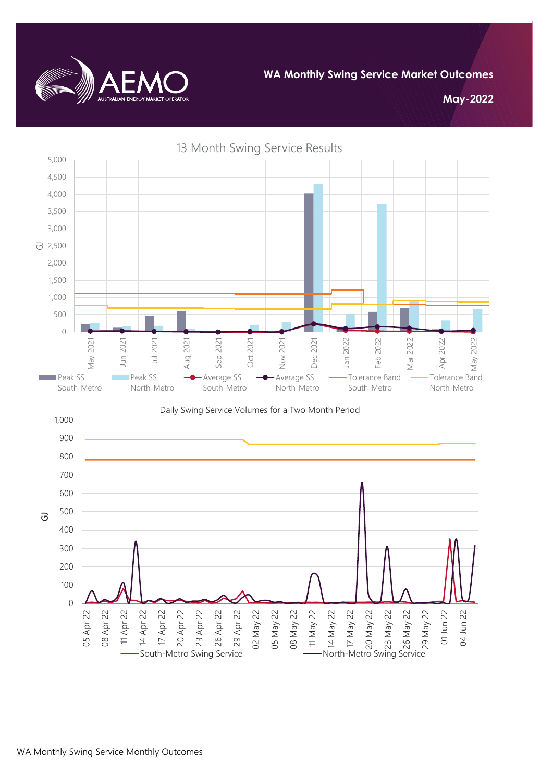

**May-2022**